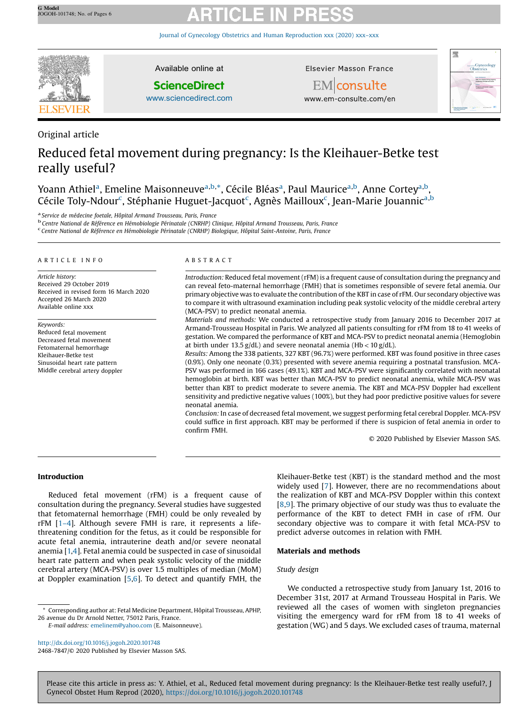Journal of Gynecology Obstetrics and Human [Reproduction](http://dx.doi.org/10.1016/j.jogoh.2020.101748) xxx (2020) xxx–xxx



Original article

Available online at

## **ScienceDirect**

[www.sciencedirect.com](http://www.sciencedirect.com/science/journal/24687847)

Elsevier Masson France



EMconsulte www.em-consulte.com/en

# Reduced fetal movement during pregnancy: Is the Kleihauer-Betke test really useful?

Yoann Athiel<sup>a</sup>, Emeline Maisonneuve<sup>a,b,</sup>\*, Cécile Bléas<sup>a</sup>, Paul Maurice<sup>a,b</sup>, Anne Cortey<sup>a,b</sup>, Cécile Toly-Ndour<sup>c</sup>, Stéphanie Huguet-Jacquot<sup>c</sup>, Agnès Mailloux<sup>c</sup>, Jean-Marie Jouannic<sup>a,b</sup>

a Service de médecine foetale, Hôpital Armand Trousseau, Paris, France b Centre National Armand Trousseau, Paris, France b Centre National de Référence en Hémobiologie Périnatale (CNRHP) Clinique, Hôpital Armand Trousseau,

Centre National de Référence en Hémobiologie Périnatale (CNRHP) Biologique, Hôpital Saint-Antoine, Paris, France

#### A R T I C L E I N F O

Article history: Received 29 October 2019 Received in revised form 16 March 2020 Accepted 26 March 2020 Available online xxx

Keywords: Reduced fetal movement Decreased fetal movement Fetomaternal hemorrhage Kleihauer-Betke test Sinusoidal heart rate pattern Middle cerebral artery doppler

#### A B S T R A C T

Introduction: Reduced fetal movement (rFM) is a frequent cause of consultation during the pregnancy and can reveal feto-maternal hemorrhage (FMH) that is sometimes responsible of severe fetal anemia. Our primary objective was to evaluate the contribution of the KBT in case of rFM. Our secondary objective was to compare it with ultrasound examination including peak systolic velocity of the middle cerebral artery (MCA-PSV) to predict neonatal anemia.

Materials and methods: We conducted a retrospective study from January 2016 to December 2017 at Armand-Trousseau Hospital in Paris. We analyzed all patients consulting for rFM from 18 to 41 weeks of gestation. We compared the performance of KBT and MCA-PSV to predict neonatal anemia (Hemoglobin at birth under 13.5  $g/dL$ ) and severe neonatal anemia (Hb <  $10 g/dL$ ).

Results: Among the 338 patients, 327 KBT (96.7%) were performed. KBT was found positive in three cases (0.9%). Only one neonate (0.3%) presented with severe anemia requiring a postnatal transfusion. MCA-PSV was performed in 166 cases (49.1%). KBT and MCA-PSV were significantly correlated with neonatal hemoglobin at birth. KBT was better than MCA-PSV to predict neonatal anemia, while MCA-PSV was better than KBT to predict moderate to severe anemia. The KBT and MCA-PSV Doppler had excellent sensitivity and predictive negative values (100%), but they had poor predictive positive values for severe neonatal anemia.

Conclusion: In case of decreased fetal movement, we suggest performing fetal cerebral Doppler. MCA-PSV could suffice in first approach. KBT may be performed if there is suspicion of fetal anemia in order to confirm FMH.

© 2020 Published by Elsevier Masson SAS.

### Introduction

Reduced fetal movement (rFM) is a frequent cause of consultation during the pregnancy. Several studies have suggested that fetomaternal hemorrhage (FMH) could be only revealed by rFM [1–[4\]](#page-4-0). Although severe FMH is rare, it represents a lifethreatening condition for the fetus, as it could be responsible for acute fetal anemia, intrauterine death and/or severe neonatal anemia [[1,4\]](#page-4-0). Fetal anemia could be suspected in case of sinusoidal heart rate pattern and when peak systolic velocity of the middle cerebral artery (MCA-PSV) is over 1.5 multiples of median (MoM) at Doppler examination [[5,6\]](#page-4-0). To detect and quantify FMH, the

Kleihauer-Betke test (KBT) is the standard method and the most widely used [[7](#page-4-0)]. However, there are no recommendations about the realization of KBT and MCA-PSV Doppler within this context [\[8](#page-4-0),[9](#page-4-0)]. The primary objective of our study was thus to evaluate the performance of the KBT to detect FMH in case of rFM. Our secondary objective was to compare it with fetal MCA-PSV to predict adverse outcomes in relation with FMH.

### Materials and methods

### Study design

\* Corresponding author at: Fetal Medicine Department, Hôpital Trousseau, APHP, 26 avenue du Dr Arnold Netter, 75012 Paris, France.

E-mail address: [emelinem@yahoo.com](mailto:emelinem@yahoo.com) (E. Maisonneuve).

<http://dx.doi.org/10.1016/j.jogoh.2020.101748> 2468-7847/© 2020 Published by Elsevier Masson SAS.

We conducted a retrospective study from January 1st, 2016 to December 31st, 2017 at Armand Trousseau Hospital in Paris. We reviewed all the cases of women with singleton pregnancies visiting the emergency ward for rFM from 18 to 41 weeks of gestation (WG) and 5 days. We excluded cases of trauma, maternal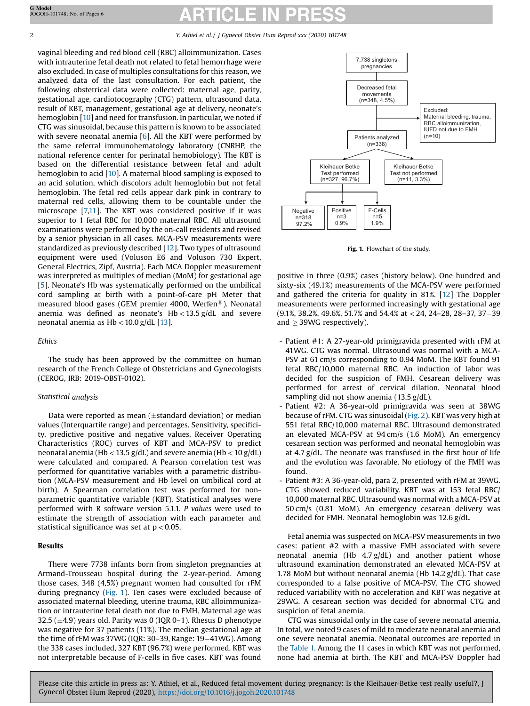#### 2 Y. Athiel et al. / J Gynecol Obstet Hum Reprod xxx (2020) 101748

vaginal bleeding and red blood cell (RBC) alloimmunization. Cases with intrauterine fetal death not related to fetal hemorrhage were also excluded. In case of multiples consultations for this reason, we analyzed data of the last consultation. For each patient, the following obstetrical data were collected: maternal age, parity, gestational age, cardiotocography (CTG) pattern, ultrasound data, result of KBT, management, gestational age at delivery, neonate's hemoglobin [[10](#page-4-0)] and need for transfusion. In particular, we noted if CTG was sinusoidal, because this pattern is known to be associated with severe neonatal anemia [\[6](#page-4-0)]. All the KBT were performed by the same referral immunohematology laboratory (CNRHP, the national reference center for perinatal hemobiology). The KBT is based on the differential resistance between fetal and adult hemoglobin to acid [\[10\]](#page-4-0). A maternal blood sampling is exposed to an acid solution, which discolors adult hemoglobin but not fetal hemoglobin. The fetal red cells appear dark pink in contrary to maternal red cells, allowing them to be countable under the microscope [\[7,11\]](#page-4-0). The KBT was considered positive if it was superior to 1 fetal RBC for 10,000 maternal RBC. All ultrasound examinations were performed by the on-call residents and revised by a senior physician in all cases. MCA-PSV measurements were standardized as previously described [[12](#page-4-0)]. Two types of ultrasound equipment were used (Voluson E6 and Voluson 730 Expert, General Electrics, Zipf, Austria). Each MCA Doppler measurement was interpreted as multiples of median (MoM) for gestational age [[5](#page-4-0)]. Neonate's Hb was systematically performed on the umbilical cord sampling at birth with a point-of-care pH Meter that measured blood gases (GEM premier 4000, Werfen®). Neonatal anemia was defined as neonate's  $Hb < 13.5$  g/dL and severe neonatal anemia as  $Hb < 10.0$  g/dL [[13](#page-4-0)].

#### Ethics

The study has been approved by the committee on human research of the French College of Obstetricians and Gynecologists (CEROG, IRB: 2019-OBST-0102).

#### Statistical analysis

Data were reported as mean  $(\pm$ standard deviation) or median values (Interquartile range) and percentages. Sensitivity, specificity, predictive positive and negative values, Receiver Operating Characteristics (ROC) curves of KBT and MCA-PSV to predict neonatal anemia (Hb < 13.5 g/dL) and severe anemia (Hb <  $10 \text{ g}/\text{dL}$ ) were calculated and compared. A Pearson correlation test was performed for quantitative variables with a parametric distribution (MCA-PSV measurement and Hb level on umbilical cord at birth). A Spearman correlation test was performed for nonparametric quantitative variable (KBT). Statistical analyses were performed with R software version 5.1.1. P values were used to estimate the strength of association with each parameter and statistical significance was set at  $p < 0.05$ .

#### Results

There were 7738 infants born from singleton pregnancies at Armand-Trousseau hospital during the 2-year-period. Among those cases, 348 (4,5%) pregnant women had consulted for rFM during pregnancy (Fig. 1). Ten cases were excluded because of associated maternal bleeding, uterine trauma, RBC alloimmunization or intrauterine fetal death not due to FMH. Maternal age was 32.5 ( $\pm$ 4.9) years old. Parity was 0 (IQR 0–1). Rhesus D phenotype was negative for 37 patients (11%). The median gestational age at the time of rFM was 37WG (IQR: 30-39, Range:  $19-41$ WG). Among the 338 cases included, 327 KBT (96.7%) were performed. KBT was not interpretable because of F-cells in five cases. KBT was found



Fig. 1. Flowchart of the study.

positive in three (0.9%) cases (history below). One hundred and sixty-six (49.1%) measurements of the MCA-PSV were performed and gathered the criteria for quality in 81%. [\[12](#page-4-0)] The Doppler measurements were performed increasingly with gestational age  $(9.1\%$ , 38.2%, 49.6%, 51.7% and 54.4% at  $<$  24, 24–28, 28–37, 37–39 and  $>$  39WG respectively).

- Patient #1: A 27-year-old primigravida presented with rFM at 41WG. CTG was normal. Ultrasound was normal with a MCA-PSV at 61 cm/s corresponding to 0.94 MoM. The KBT found 91 fetal RBC/10,000 maternal RBC. An induction of labor was decided for the suspicion of FMH. Cesarean delivery was performed for arrest of cervical dilation. Neonatal blood sampling did not show anemia (13.5 g/dL).
- Patient #2: A 36-year-old primigravida was seen at 38WG because of rFM. CTG was sinusoidal [\(Fig.](#page-2-0) 2). KBT was very high at 551 fetal RBC/10,000 maternal RBC. Ultrasound demonstrated an elevated MCA-PSV at 94 cm/s (1.6 MoM). An emergency cesarean section was performed and neonatal hemoglobin was at 4.7 g/dL. The neonate was transfused in the first hour of life and the evolution was favorable. No etiology of the FMH was found.
- Patient #3: A 36-year-old, para 2, presented with rFM at 39WG. CTG showed reduced variability. KBT was at 153 fetal RBC/ 10,000 maternal RBC. Ultrasound was normal with a MCA-PSV at 50 cm/s (0.81 MoM). An emergency cesarean delivery was decided for FMH. Neonatal hemoglobin was 12.6 g/dL.

Fetal anemia was suspected on MCA-PSV measurements in two cases: patient #2 with a massive FMH associated with severe neonatal anemia (Hb 4.7 g/dL) and another patient whose ultrasound examination demonstrated an elevated MCA-PSV at 1.78 MoM but without neonatal anemia (Hb 14.2 g/dL). That case corresponded to a false positive of MCA-PSV. The CTG showed reduced variability with no acceleration and KBT was negative at 29WG. A cesarean section was decided for abnormal CTG and suspicion of fetal anemia.

CTG was sinusoidal only in the case of severe neonatal anemia. In total, we noted 9 cases of mild to moderate neonatal anemia and one severe neonatal anemia. Neonatal outcomes are reported in the [Table](#page-2-0) 1. Among the 11 cases in which KBT was not performed, none had anemia at birth. The KBT and MCA-PSV Doppler had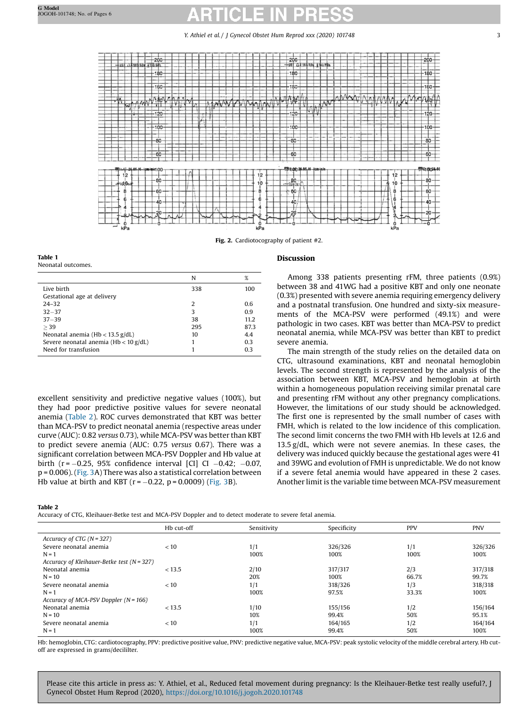Y. Athiel et al. / J Gynecol Obstet Hum Reprod xxx (2020) 101748 33

<span id="page-2-0"></span>

Fig. 2. Cardiotocography of patient #2.

Discussion

Table 1 Neonatal outcomes.

|                                          | N   | $\%$ |
|------------------------------------------|-----|------|
| Live birth                               | 338 | 100  |
| Gestational age at delivery              |     |      |
| $24 - 32$                                | 2   | 0.6  |
| $32 - 37$                                | 3   | 0.9  |
| $37 - 39$                                | 38  | 11.2 |
| > 39                                     | 295 | 87.3 |
| Neonatal anemia ( $Hb < 13.5$ g/dL)      | 10  | 4.4  |
| Severe neonatal anemia ( $Hb < 10$ g/dL) |     | 0.3  |
| Need for transfusion                     |     | 0.3  |

excellent sensitivity and predictive negative values (100%), but they had poor predictive positive values for severe neonatal anemia (Table 2). ROC curves demonstrated that KBT was better than MCA-PSV to predict neonatal anemia (respective areas under curve (AUC): 0.82 versus 0.73), while MCA-PSV was better than KBT to predict severe anemia (AUC: 0.75 versus 0.67). There was a significant correlation between MCA-PSV Doppler and Hb value at birth ( $r = -0.25$ , 95% confidence interval [CI] CI  $-0.42$ ;  $-0.07$ , p = 0.006). [\(Fig.](#page-3-0) 3A) There was also a statistical correlation between Hb value at birth and KBT ( $r = -0.22$ ,  $p = 0.0009$ ) ([Fig.](#page-3-0) 3B).

#### Table 2

Accuracy of CTG, Kleihauer-Betke test and MCA-PSV Doppler and to detect moderate to severe fetal anemia.

### Among 338 patients presenting rFM, three patients (0.9%) between 38 and 41WG had a positive KBT and only one neonate (0.3%) presented with severe anemia requiring emergency delivery and a postnatal transfusion. One hundred and sixty-six measurements of the MCA-PSV were performed (49.1%) and were pathologic in two cases. KBT was better than MCA-PSV to predict neonatal anemia, while MCA-PSV was better than KBT to predict severe anemia.

The main strength of the study relies on the detailed data on CTG, ultrasound examinations, KBT and neonatal hemoglobin levels. The second strength is represented by the analysis of the association between KBT, MCA-PSV and hemoglobin at birth within a homogeneous population receiving similar prenatal care and presenting rFM without any other pregnancy complications. However, the limitations of our study should be acknowledged. The first one is represented by the small number of cases with FMH, which is related to the low incidence of this complication. The second limit concerns the two FMH with Hb levels at 12.6 and 13.5 g/dL, which were not severe anemias. In these cases, the delivery was induced quickly because the gestational ages were 41 and 39WG and evolution of FMH is unpredictable. We do not know if a severe fetal anemia would have appeared in these 2 cases. Another limit is the variable time between MCA-PSV measurement

|                                                | Hb cut-off | Sensitivity | Specificity | <b>PPV</b> | <b>PNV</b> |
|------------------------------------------------|------------|-------------|-------------|------------|------------|
| Accuracy of CTG ( $N = 327$ )                  |            |             |             |            |            |
| Severe neonatal anemia                         | < 10       | 1/1         | 326/326     | 1/1        | 326/326    |
| $N = 1$                                        |            | 100%        | 100%        | 100%       | 100%       |
| Accuracy of Kleihauer-Betke test ( $N = 327$ ) |            |             |             |            |            |
| Neonatal anemia                                | < 13.5     | 2/10        | 317/317     | 2/3        | 317/318    |
| $N = 10$                                       |            | 20%         | 100%        | 66.7%      | 99.7%      |
| Severe neonatal anemia                         | < 10       | 1/1         | 318/326     | 1/3        | 318/318    |
| $N = 1$                                        |            | 100%        | 97.5%       | 33.3%      | 100%       |
| Accuracy of MCA-PSV Doppler $(N = 166)$        |            |             |             |            |            |
| Neonatal anemia                                | < 13.5     | 1/10        | 155/156     | 1/2        | 156/164    |
| $N = 10$                                       |            | 10%         | 99.4%       | 50%        | 95.1%      |
| Severe neonatal anemia                         | < 10       | 1/1         | 164/165     | 1/2        | 164/164    |
| $N = 1$                                        |            | 100%        | 99.4%       | 50%        | 100%       |

Hb: hemoglobin, CTG: cardiotocography, PPV: predictive positive value, PNV: predictive negative value, MCA-PSV: peak systolic velocity of the middle cerebral artery. Hb cutoff are expressed in grams/decililter.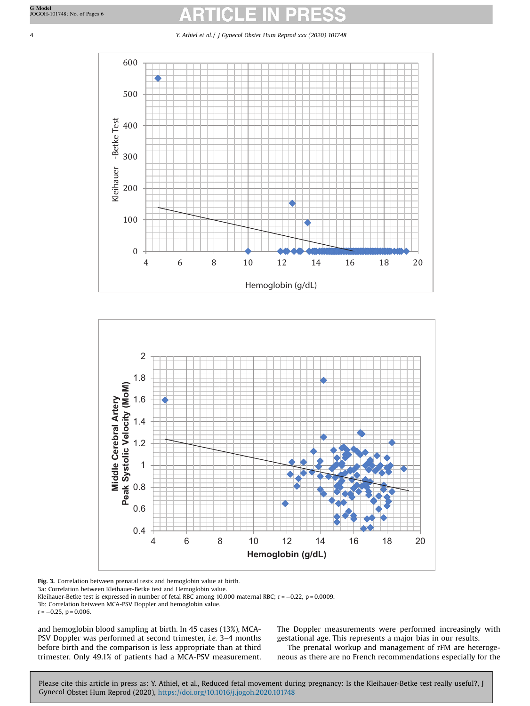<span id="page-3-0"></span>4 Y. Athiel et al. / J Gynecol Obstet Hum Reprod xxx (2020) 101748





Fig. 3. Correlation between prenatal tests and hemoglobin value at birth.

3a: Correlation between Kleihauer-Betke test and Hemoglobin value.

Kleihauer-Betke test is expressed in number of fetal RBC among 10,000 maternal RBC;  $r = -0.22$ ,  $p = 0.0009$ . 3b: Correlation between MCA-PSV Doppler and hemoglobin value.

 $r = -0.25$ ,  $p = 0.006$ .

and hemoglobin blood sampling at birth. In 45 cases (13%), MCA-PSV Doppler was performed at second trimester, i.e. 3-4 months before birth and the comparison is less appropriate than at third trimester. Only 49.1% of patients had a MCA-PSV measurement. The Doppler measurements were performed increasingly with gestational age. This represents a major bias in our results. The prenatal workup and management of rFM are heterogeneous as there are no French recommendations especially for the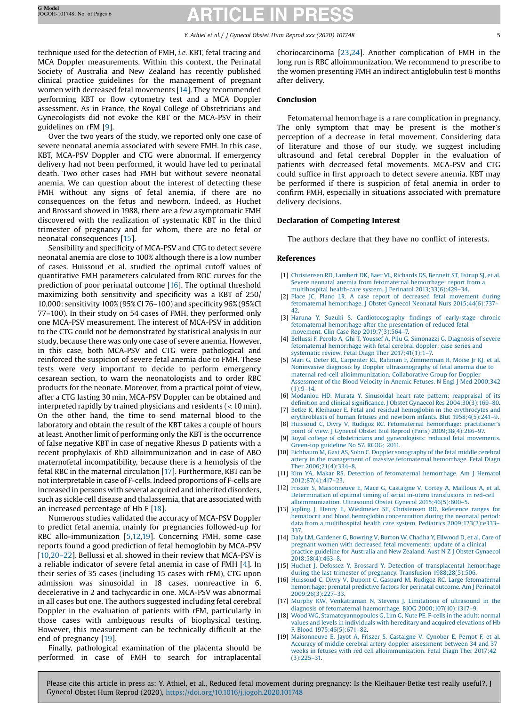### Y. Athiel et al. / J Gynecol Obstet Hum Reprod xxx (2020) 101748 5

<span id="page-4-0"></span>technique used for the detection of FMH, i.e. KBT, fetal tracing and MCA Doppler measurements. Within this context, the Perinatal Society of Australia and New Zealand has recently published clinical practice guidelines for the management of pregnant women with decreased fetal movements [14]. They recommended performing KBT or flow cytometry test and a MCA Doppler assessment. As in France, the Royal College of Obstetricians and Gynecologists did not evoke the KBT or the MCA-PSV in their guidelines on rFM [9].

Over the two years of the study, we reported only one case of severe neonatal anemia associated with severe FMH. In this case, KBT, MCA-PSV Doppler and CTG were abnormal. If emergency delivery had not been performed, it would have led to perinatal death. Two other cases had FMH but without severe neonatal anemia. We can question about the interest of detecting these FMH without any signs of fetal anemia, if there are no consequences on the fetus and newborn. Indeed, as Huchet and Brossard showed in 1988, there are a few asymptomatic FMH discovered with the realization of systematic KBT in the third trimester of pregnancy and for whom, there are no fetal or neonatal consequences [15].

Sensibility and specificity of MCA-PSV and CTG to detect severe neonatal anemia are close to 100% although there is a low number of cases. Huissoud et al. studied the optimal cutoff values of quantitative FMH parameters calculated from ROC curves for the prediction of poor perinatal outcome [16]. The optimal threshold maximizing both sensitivity and specificity was a KBT of 250/ 10,000: sensitivity 100% (95% CI 76–100) and specificity 96% (95%CI 77–100). In their study on 54 cases of FMH, they performed only one MCA-PSV measurement. The interest of MCA-PSV in addition to the CTG could not be demonstrated by statistical analysis in our study, because there was only one case of severe anemia. However, in this case, both MCA-PSV and CTG were pathological and reinforced the suspicion of severe fetal anemia due to FMH. These tests were very important to decide to perform emergency cesarean section, to warn the neonatologists and to order RBC products for the neonate. Moreover, from a practical point of view, after a CTG lasting 30 min, MCA-PSV Doppler can be obtained and interpreted rapidly by trained physicians and residents (< 10 min). On the other hand, the time to send maternal blood to the laboratory and obtain the result of the KBT takes a couple of hours at least. Another limit of performing only the KBT is the occurrence of false negative KBT in case of negative Rhesus D patients with a recent prophylaxis of RhD alloimmunization and in case of ABO maternofetal incompatibility, because there is a hemolysis of the fetal RBC in the maternal circulation [17]. Furthermore, KBT can be notinterpretable in case of F-cells. Indeed proportions of F-cells are increased in persons with several acquired and inherited disorders, such as sickle cell disease and thalassemia, that are associated with an increased percentage of Hb F [18].

Numerous studies validated the accuracy of MCA-PSV Doppler to predict fetal anemia, mainly for pregnancies followed-up for RBC allo-immunization [5,12,19]. Concerning FMH, some case reports found a good prediction of fetal hemoglobin by MCA-PSV [10,[20](#page-5-0)–22]. Bellussi et al. showed in their review that MCA-PSV is a reliable indicator of severe fetal anemia in case of FMH [4]. In their series of 35 cases (including 15 cases with rFM), CTG upon admission was sinusoidal in 18 cases, nonreactive in 6, decelerative in 2 and tachycardic in one. MCA-PSV was abnormal in all cases but one. The authors suggested including fetal cerebral Doppler in the evaluation of patients with rFM, particularly in those cases with ambiguous results of biophysical testing. However, this measurement can be technically difficult at the end of pregnancy [19].

Finally, pathological examination of the placenta should be performed in case of FMH to search for intraplacental choriocarcinoma [[23,24](#page-5-0)]. Another complication of FMH in the long run is RBC alloimmunization. We recommend to prescribe to the women presenting FMH an indirect antiglobulin test 6 months after delivery.

### Conclusion

Fetomaternal hemorrhage is a rare complication in pregnancy. The only symptom that may be present is the mother's perception of a decrease in fetal movement. Considering data of literature and those of our study, we suggest including ultrasound and fetal cerebral Doppler in the evaluation of patients with decreased fetal movements. MCA-PSV and CTG could suffice in first approach to detect severe anemia. KBT may be performed if there is suspicion of fetal anemia in order to confirm FMH, especially in situations associated with premature delivery decisions.

#### Declaration of Competing Interest

The authors declare that they have no conflict of interests.

#### References

- [1] [Christensen](http://refhub.elsevier.com/S2468-7847(20)30082-9/sbref0005) RD, Lambert DK, Baer VL, Richards DS, Bennett ST, Ilstrup SJ, et al. Severe neonatal anemia from fetomaternal [hemorrhage:](http://refhub.elsevier.com/S2468-7847(20)30082-9/sbref0005) report from a multihospital health-care system. J Perinatol [2013;33\(6\):429](http://refhub.elsevier.com/S2468-7847(20)30082-9/sbref0005)–34.
- [2] Place JC, Plano LR. A case report of decreased fetal [movement](http://refhub.elsevier.com/S2468-7847(20)30082-9/sbref0010) during fetomaternal hemorrhage. J Obstet Gynecol Neonatal Nurs [2015;44\(6\):737](http://refhub.elsevier.com/S2468-7847(20)30082-9/sbref0010)– [42](http://refhub.elsevier.com/S2468-7847(20)30082-9/sbref0010).
- [3] Haruna Y, Suzuki S. [Cardiotocography](http://refhub.elsevier.com/S2468-7847(20)30082-9/sbref0015) findings of early-stage chronic [fetomaternal](http://refhub.elsevier.com/S2468-7847(20)30082-9/sbref0015) hemorrhage after the presentation of reduced fetal movement. Clin Case Rep [2019;7\(3\):564](http://refhub.elsevier.com/S2468-7847(20)30082-9/sbref0015)–7.
- [4] Bellussi F, Perolo A, Ghi T, Youssef A, Pilu G, [Simonazzi](http://refhub.elsevier.com/S2468-7847(20)30082-9/sbref0020) G. Diagnosis of severe [fetomaternal](http://refhub.elsevier.com/S2468-7847(20)30082-9/sbref0020) hemorrhage with fetal cerebral doppler: case series and systematic review. Fetal Diagn Ther [2017;41\(1\):1](http://refhub.elsevier.com/S2468-7847(20)30082-9/sbref0020)–7.
- [5] Mari G, Deter RL, Carpenter RL, Rahman F, [Zimmerman](http://refhub.elsevier.com/S2468-7847(20)30082-9/sbref0025) R, Moise Jr KJ, et al. Noninvasive diagnosis by Doppler [ultrasonography](http://refhub.elsevier.com/S2468-7847(20)30082-9/sbref0025) of fetal anemia due to maternal red-cell [alloimmunization.](http://refhub.elsevier.com/S2468-7847(20)30082-9/sbref0025) Collaborative Group for Doppler [Assessment](http://refhub.elsevier.com/S2468-7847(20)30082-9/sbref0025) of the Blood Velocity in Anemic Fetuses. N Engl J Med 2000;342  $(1)$  $-9-14$
- [6] Modanlou HD, Murata Y. Sinusoidal heart rate pattern: [reappraisal](http://refhub.elsevier.com/S2468-7847(20)30082-9/sbref0030) of its definition and clinical significance. J Obstet Gynaecol Res [2004;30\(3\):169](http://refhub.elsevier.com/S2468-7847(20)30082-9/sbref0030)–80.
- [7] Betke K, Kleihauer E. Fetal and residual hemoglobin in the [erythrocytes](http://refhub.elsevier.com/S2468-7847(20)30082-9/sbref0035) and erythroblasts of human fetuses and newborn infants. Blut [1958;4\(5\):241](http://refhub.elsevier.com/S2468-7847(20)30082-9/sbref0035)–9.
- [8] Huissoud C, Divry V, Rudigoz RC. [Fetomaternal](http://refhub.elsevier.com/S2468-7847(20)30082-9/sbref0040) hemorrhage: practitioner's point of view. J Gynecol Obstet Biol Reprod (Paris) [2009;38\(4\):286](http://refhub.elsevier.com/S2468-7847(20)30082-9/sbref0040)–97.
- [9] Royal college of obstetricians and [gynecologists:](http://refhub.elsevier.com/S2468-7847(20)30082-9/sbref0045) reduced fetal movements. [Green-top](http://refhub.elsevier.com/S2468-7847(20)30082-9/sbref0045) guideline No 57. RCOG; 2011.
- [10] Eichbaum M, Gast AS, Sohn C. Doppler [sonography](http://refhub.elsevier.com/S2468-7847(20)30082-9/sbref0050) of the fetal middle cerebral artery in the [management](http://refhub.elsevier.com/S2468-7847(20)30082-9/sbref0050) of massive fetomaternal hemorrhage. Fetal Diagn Ther [2006;21\(4\):334](http://refhub.elsevier.com/S2468-7847(20)30082-9/sbref0050)–8.
- [11] Kim YA, Makar RS. Detection of [fetomaternal](http://refhub.elsevier.com/S2468-7847(20)30082-9/sbref0055) hemorrhage. Am J Hematol [2012;87\(4\):417](http://refhub.elsevier.com/S2468-7847(20)30082-9/sbref0055)–23.
- [12] Friszer S, [Maisonneuve](http://refhub.elsevier.com/S2468-7847(20)30082-9/sbref0060) E, Mace G, Castaigne V, Cortey A, Mailloux A, et al. [Determination](http://refhub.elsevier.com/S2468-7847(20)30082-9/sbref0060) of optimal timing of serial in-utero transfusions in red-cell [alloimmunization.](http://refhub.elsevier.com/S2468-7847(20)30082-9/sbref0060) Ultrasound Obstet Gynecol 2015;46(5):600–5.
- [13] Jopling J, Henry E, Wiedmeier SE, [Christensen](http://refhub.elsevier.com/S2468-7847(20)30082-9/sbref0065) RD. Reference ranges for hematocrit and blood hemoglobin [concentration](http://refhub.elsevier.com/S2468-7847(20)30082-9/sbref0065) during the neonatal period: data from a multihospital health care system. Pediatrics [2009;123\(2\):e333](http://refhub.elsevier.com/S2468-7847(20)30082-9/sbref0065)– [337.](http://refhub.elsevier.com/S2468-7847(20)30082-9/sbref0065)
- [14] Daly LM, [Gardener](http://refhub.elsevier.com/S2468-7847(20)30082-9/sbref0070) G, Bowring V, Burton W, Chadha Y, Ellwood D, et al. Care of pregnant women with decreased fetal [movements:](http://refhub.elsevier.com/S2468-7847(20)30082-9/sbref0070) update of a clinical practice [guideline](http://refhub.elsevier.com/S2468-7847(20)30082-9/sbref0070) for Australia and New Zealand. Aust N Z J Obstet Gynaecol [2018;58\(4\):463](http://refhub.elsevier.com/S2468-7847(20)30082-9/sbref0070)–8.
- [15] Huchet J, Defossez Y, Brossard Y. Detection of [transplacental](http://refhub.elsevier.com/S2468-7847(20)30082-9/sbref0075) hemorrhage during the last trimester of pregnancy. Transfusion [1988;28\(5\):506.](http://refhub.elsevier.com/S2468-7847(20)30082-9/sbref0075)
- [16] Huissoud C, Divry V, Dupont C, Gaspard M, Rudigoz RC. Large [fetomaternal](http://refhub.elsevier.com/S2468-7847(20)30082-9/sbref0080) [hemorrhage:](http://refhub.elsevier.com/S2468-7847(20)30082-9/sbref0080) prenatal predictive factors for perinatal outcome. Am J Perinatol [2009;26\(3\):227](http://refhub.elsevier.com/S2468-7847(20)30082-9/sbref0080)–33.
- [17] Murphy KW, [Venkatraman](http://refhub.elsevier.com/S2468-7847(20)30082-9/sbref0085) N, Stevens J. Limitations of ultrasound in the diagnosis of fetomaternal haemorrhage. BJOG [2000;107\(10\):1317](http://refhub.elsevier.com/S2468-7847(20)30082-9/sbref0085)–9.
- [18] Wood WG, [Stamatoyannopoulos](http://refhub.elsevier.com/S2468-7847(20)30082-9/sbref0090) G, Lim G, Nute PE. F-cells in the adult: normal values and levels in [individuals](http://refhub.elsevier.com/S2468-7847(20)30082-9/sbref0090) with hereditary and acquired elevations of Hb F. Blood [1975;46\(5\):671](http://refhub.elsevier.com/S2468-7847(20)30082-9/sbref0090)–82.
- [19] [Maisonneuve](http://refhub.elsevier.com/S2468-7847(20)30082-9/sbref0095) E, Jayot A, Friszer S, Castaigne V, Cynober E, Pernot F, et al. Accuracy of middle cerebral artery doppler [assessment](http://refhub.elsevier.com/S2468-7847(20)30082-9/sbref0095) between 34 and 37 weeks in fetuses with red cell [alloimmunization.](http://refhub.elsevier.com/S2468-7847(20)30082-9/sbref0095) Fetal Diagn Ther 2017;42 [\(3\):225](http://refhub.elsevier.com/S2468-7847(20)30082-9/sbref0095)–31.